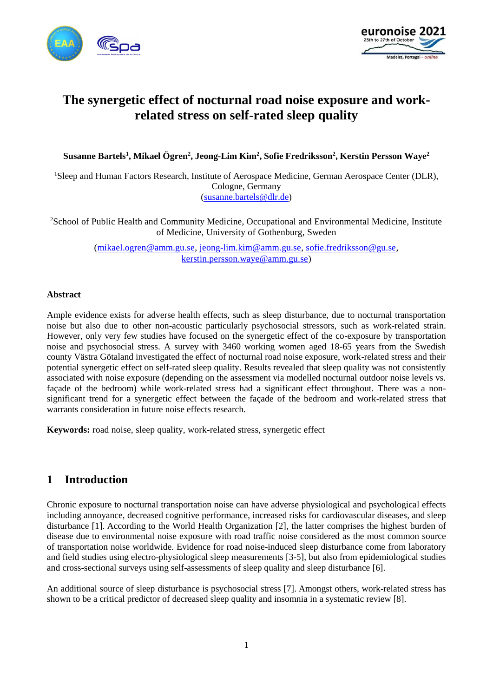



# **The synergetic effect of nocturnal road noise exposure and workrelated stress on self-rated sleep quality**

**Susanne Bartels<sup>1</sup> , Mikael Ögren<sup>2</sup> , Jeong-Lim Kim<sup>2</sup> , Sofie Fredriksson<sup>2</sup> , Kerstin Persson Waye<sup>2</sup>**

<sup>1</sup>Sleep and Human Factors Research, Institute of Aerospace Medicine, German Aerospace Center (DLR), Cologne, Germany [\(susanne.bartels@dlr.de\)](mailto:susanne.bartels@dlr.de)

<sup>2</sup>School of Public Health and Community Medicine, Occupational and Environmental Medicine, Institute of Medicine, University of Gothenburg, Sweden

> [\(mikael.ogren@amm.gu.se,](mailto:mikael.ogren@amm.gu.se) [jeong-lim.kim@amm.gu.se,](mailto:jeong-lim.kim@amm.gu.se) [sofie.fredriksson@gu.se,](mailto:sofie.fredriksson@gu.se) [kerstin.persson.waye@amm.gu.se\)](mailto:kerstin.persson.waye@amm.gu.se)

#### **Abstract**

Ample evidence exists for adverse health effects, such as sleep disturbance, due to nocturnal transportation noise but also due to other non-acoustic particularly psychosocial stressors, such as work-related strain. However, only very few studies have focused on the synergetic effect of the co-exposure by transportation noise and psychosocial stress. A survey with 3460 working women aged 18-65 years from the Swedish county Västra Götaland investigated the effect of nocturnal road noise exposure, work-related stress and their potential synergetic effect on self-rated sleep quality. Results revealed that sleep quality was not consistently associated with noise exposure (depending on the assessment via modelled nocturnal outdoor noise levels vs. façade of the bedroom) while work-related stress had a significant effect throughout. There was a nonsignificant trend for a synergetic effect between the façade of the bedroom and work-related stress that warrants consideration in future noise effects research.

**Keywords:** road noise, sleep quality, work-related stress, synergetic effect

# **1 Introduction**

Chronic exposure to nocturnal transportation noise can have adverse physiological and psychological effects including annoyance, decreased cognitive performance, increased risks for cardiovascular diseases, and sleep disturbance [1]. According to the World Health Organization [2], the latter comprises the highest burden of disease due to environmental noise exposure with road traffic noise considered as the most common source of transportation noise worldwide. Evidence for road noise-induced sleep disturbance come from laboratory and field studies using electro-physiological sleep measurements [3-5], but also from epidemiological studies and cross-sectional surveys using self-assessments of sleep quality and sleep disturbance [6].

An additional source of sleep disturbance is psychosocial stress [7]. Amongst others, work-related stress has shown to be a critical predictor of decreased sleep quality and insomnia in a systematic review [8].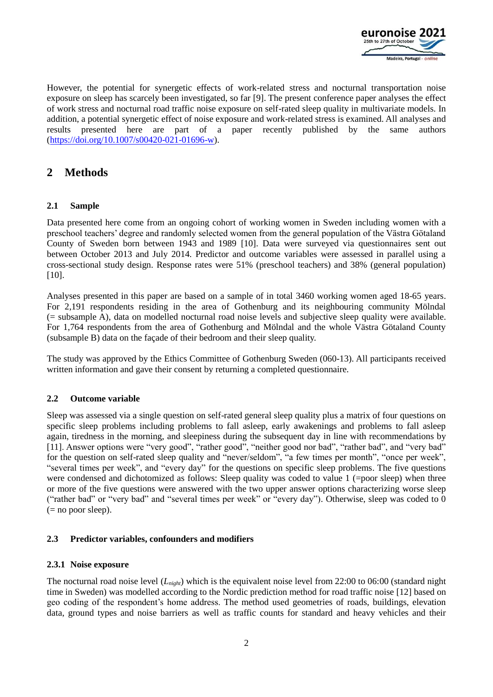

However, the potential for synergetic effects of work-related stress and nocturnal transportation noise exposure on sleep has scarcely been investigated, so far [9]. The present conference paper analyses the effect of work stress and nocturnal road traffic noise exposure on self-rated sleep quality in multivariate models. In addition, a potential synergetic effect of noise exposure and work-related stress is examined. All analyses and results presented here are part of a paper recently published by the same authors [\(https://doi.org/10.1007/s00420-021-01696-w\)](https://doi.org/10.1007/s00420-021-01696-w).

# **2 Methods**

#### **2.1 Sample**

Data presented here come from an ongoing cohort of working women in Sweden including women with a preschool teachers' degree and randomly selected women from the general population of the Västra Götaland County of Sweden born between 1943 and 1989 [10]. Data were surveyed via questionnaires sent out between October 2013 and July 2014. Predictor and outcome variables were assessed in parallel using a cross-sectional study design. Response rates were 51% (preschool teachers) and 38% (general population) [10].

Analyses presented in this paper are based on a sample of in total 3460 working women aged 18-65 years. For 2,191 respondents residing in the area of Gothenburg and its neighbouring community Mölndal (= subsample A), data on modelled nocturnal road noise levels and subjective sleep quality were available. For 1,764 respondents from the area of Gothenburg and Mölndal and the whole Västra Götaland County (subsample B) data on the façade of their bedroom and their sleep quality.

The study was approved by the Ethics Committee of Gothenburg Sweden (060-13). All participants received written information and gave their consent by returning a completed questionnaire.

#### **2.2 Outcome variable**

Sleep was assessed via a single question on self-rated general sleep quality plus a matrix of four questions on specific sleep problems including problems to fall asleep, early awakenings and problems to fall asleep again, tiredness in the morning, and sleepiness during the subsequent day in line with recommendations by [11]. Answer options were "very good", "rather good", "neither good nor bad", "rather bad", and "very bad" for the question on self-rated sleep quality and "never/seldom", "a few times per month", "once per week", "several times per week", and "every day" for the questions on specific sleep problems. The five questions were condensed and dichotomized as follows: Sleep quality was coded to value 1 (=poor sleep) when three or more of the five questions were answered with the two upper answer options characterizing worse sleep ("rather bad" or "very bad" and "several times per week" or "every day"). Otherwise, sleep was coded to 0  $(= no poor sleep).$ 

#### **2.3 Predictor variables, confounders and modifiers**

#### **2.3.1 Noise exposure**

The nocturnal road noise level (*Lnight*) which is the equivalent noise level from 22:00 to 06:00 (standard night time in Sweden) was modelled according to the Nordic prediction method for road traffic noise [12] based on geo coding of the respondent's home address. The method used geometries of roads, buildings, elevation data, ground types and noise barriers as well as traffic counts for standard and heavy vehicles and their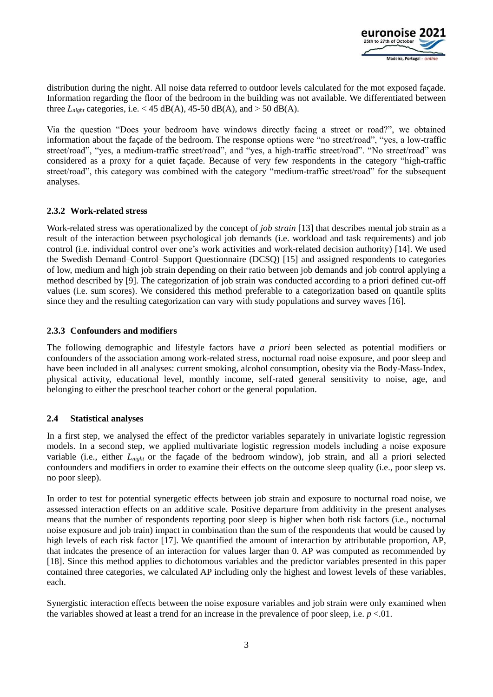

distribution during the night. All noise data referred to outdoor levels calculated for the mot exposed façade. Information regarding the floor of the bedroom in the building was not available. We differentiated between three  $L_{ni}$  categories, i.e. < 45 dB(A), 45-50 dB(A), and > 50 dB(A).

Via the question "Does your bedroom have windows directly facing a street or road?", we obtained information about the façade of the bedroom. The response options were "no street/road", "yes, a low-traffic street/road", "yes, a medium-traffic street/road", and "yes, a high-traffic street/road". "No street/road" was considered as a proxy for a quiet façade. Because of very few respondents in the category "high-traffic street/road", this category was combined with the category "medium-traffic street/road" for the subsequent analyses.

#### **2.3.2 Work-related stress**

Work-related stress was operationalized by the concept of *job strain* [13] that describes mental job strain as a result of the interaction between psychological job demands (i.e. workload and task requirements) and job control (i.e. individual control over one's work activities and work-related decision authority) [14]. We used the Swedish Demand–Control–Support Questionnaire (DCSQ) [15] and assigned respondents to categories of low, medium and high job strain depending on their ratio between job demands and job control applying a method described by [9]. The categorization of job strain was conducted according to a priori defined cut-off values (i.e. sum scores). We considered this method preferable to a categorization based on quantile splits since they and the resulting categorization can vary with study populations and survey waves [16].

#### **2.3.3 Confounders and modifiers**

The following demographic and lifestyle factors have *a priori* been selected as potential modifiers or confounders of the association among work-related stress, nocturnal road noise exposure, and poor sleep and have been included in all analyses: current smoking, alcohol consumption, obesity via the Body-Mass-Index, physical activity, educational level, monthly income, self-rated general sensitivity to noise, age, and belonging to either the preschool teacher cohort or the general population.

#### **2.4 Statistical analyses**

In a first step, we analysed the effect of the predictor variables separately in univariate logistic regression models. In a second step, we applied multivariate logistic regression models including a noise exposure variable (i.e., either *Lnight* or the façade of the bedroom window), job strain, and all a priori selected confounders and modifiers in order to examine their effects on the outcome sleep quality (i.e., poor sleep vs. no poor sleep).

In order to test for potential synergetic effects between job strain and exposure to nocturnal road noise, we assessed interaction effects on an additive scale. Positive departure from additivity in the present analyses means that the number of respondents reporting poor sleep is higher when both risk factors (i.e., nocturnal noise exposure and job train) impact in combination than the sum of the respondents that would be caused by high levels of each risk factor [17]. We quantified the amount of interaction by attributable proportion, AP, that indcates the presence of an interaction for values larger than 0. AP was computed as recommended by [18]. Since this method applies to dichotomous variables and the predictor variables presented in this paper contained three categories, we calculated AP including only the highest and lowest levels of these variables, each.

Synergistic interaction effects between the noise exposure variables and job strain were only examined when the variables showed at least a trend for an increase in the prevalence of poor sleep, i.e.  $p < 01$ .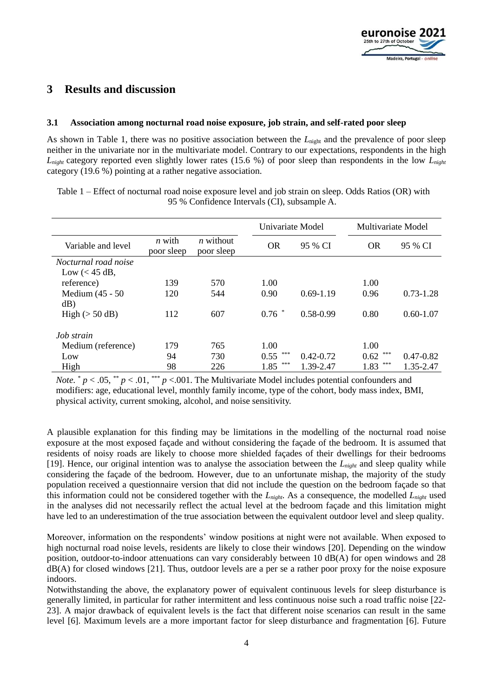## **3 Results and discussion**

#### **3.1 Association among nocturnal road noise exposure, job strain, and self-rated poor sleep**

As shown in Table 1, there was no positive association between the L<sub>night</sub> and the prevalence of poor sleep neither in the univariate nor in the multivariate model. Contrary to our expectations, respondents in the high *Lnight* category reported even slightly lower rates (15.6 %) of poor sleep than respondents in the low *Lnight* category (19.6 %) pointing at a rather negative association.

Table 1 – Effect of nocturnal road noise exposure level and job strain on sleep. Odds Ratios (OR) with 95 % Confidence Intervals (CI), subsample A.

|                          |                        |                           | Univariate Model |               | Multivariate Model |               |
|--------------------------|------------------------|---------------------------|------------------|---------------|--------------------|---------------|
| Variable and level       | $n$ with<br>poor sleep | $n$ without<br>poor sleep | <b>OR</b>        | 95 % CI       | <b>OR</b>          | 95 % CI       |
| Nocturnal road noise     |                        |                           |                  |               |                    |               |
| Low $(< 45$ dB,          |                        |                           |                  |               |                    |               |
| reference)               | 139                    | 570                       | 1.00             |               | 1.00               |               |
| Medium (45 - 50<br>dB)   | 120                    | 544                       | 0.90             | $0.69 - 1.19$ | 0.96               | $0.73 - 1.28$ |
| High $(> 50 \text{ dB})$ | 112                    | 607                       | $0.76$ *         | 0.58-0.99     | 0.80               | $0.60 - 1.07$ |
| Job strain               |                        |                           |                  |               |                    |               |
| Medium (reference)       | 179                    | 765                       | 1.00             |               | 1.00               |               |
| Low                      | 94                     | 730                       | ***<br>0.55      | $0.42 - 0.72$ | ***<br>0.62        | $0.47 - 0.82$ |
| High                     | 98                     | 226                       | ***<br>1.85      | 1.39-2.47     | ***<br>1.83        | 1.35-2.47     |

*Note.*  $* p < .05, ** p < .01, *** p < .001$ . The Multivariate Model includes potential confounders and modifiers: age, educational level, monthly family income, type of the cohort, body mass index, BMI, physical activity, current smoking, alcohol, and noise sensitivity.

A plausible explanation for this finding may be limitations in the modelling of the nocturnal road noise exposure at the most exposed façade and without considering the façade of the bedroom. It is assumed that residents of noisy roads are likely to choose more shielded façades of their dwellings for their bedrooms [19]. Hence, our original intention was to analyse the association between the *Lnight* and sleep quality while considering the façade of the bedroom. However, due to an unfortunate mishap, the majority of the study population received a questionnaire version that did not include the question on the bedroom façade so that this information could not be considered together with the *Lnight*. As a consequence, the modelled *Lnight* used in the analyses did not necessarily reflect the actual level at the bedroom façade and this limitation might have led to an underestimation of the true association between the equivalent outdoor level and sleep quality.

Moreover, information on the respondents' window positions at night were not available. When exposed to high nocturnal road noise levels, residents are likely to close their windows [20]. Depending on the window position, outdoor-to-indoor attenuations can vary considerably between 10 dB(A) for open windows and 28  $dB(A)$  for closed windows [21]. Thus, outdoor levels are a per se a rather poor proxy for the noise exposure indoors.

Notwithstanding the above, the explanatory power of equivalent continuous levels for sleep disturbance is generally limited, in particular for rather intermittent and less continuous noise such a road traffic noise [22- 23]. A major drawback of equivalent levels is the fact that different noise scenarios can result in the same level [6]. Maximum levels are a more important factor for sleep disturbance and fragmentation [6]. Future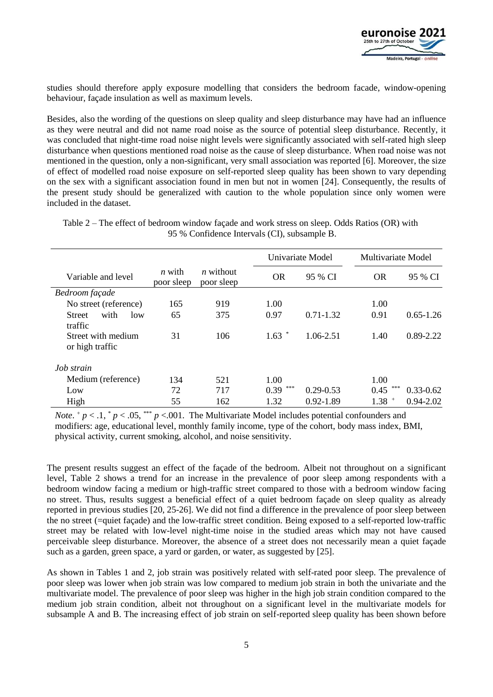

studies should therefore apply exposure modelling that considers the bedroom facade, window-opening behaviour, façade insulation as well as maximum levels.

Besides, also the wording of the questions on sleep quality and sleep disturbance may have had an influence as they were neutral and did not name road noise as the source of potential sleep disturbance. Recently, it was concluded that night-time road noise night levels were significantly associated with self-rated high sleep disturbance when questions mentioned road noise as the cause of sleep disturbance. When road noise was not mentioned in the question, only a non-significant, very small association was reported [6]. Moreover, the size of effect of modelled road noise exposure on self-reported sleep quality has been shown to vary depending on the sex with a significant association found in men but not in women [24]. Consequently, the results of the present study should be generalized with caution to the whole population since only women were included in the dataset.

|                                                     |                        |                                |             | Univariate Model |             | Multivariate Model |  |
|-----------------------------------------------------|------------------------|--------------------------------|-------------|------------------|-------------|--------------------|--|
| Variable and level                                  | $n$ with<br>poor sleep | <i>n</i> without<br>poor sleep | <b>OR</b>   | 95 % CI          | <b>OR</b>   | 95 % CI            |  |
| Bedroom façade                                      |                        |                                |             |                  |             |                    |  |
| No street (reference)                               | 165                    | 919                            | 1.00        |                  | 1.00        |                    |  |
| with<br><b>Street</b><br>1 <sub>ow</sub><br>traffic | 65                     | 375                            | 0.97        | $0.71 - 1.32$    | 0.91        | $0.65 - 1.26$      |  |
| Street with medium<br>or high traffic               | 31                     | 106                            | 1.63        | 1.06-2.51        | 1.40        | $0.89 - 2.22$      |  |
| Job strain                                          |                        |                                |             |                  |             |                    |  |
| Medium (reference)                                  | 134                    | 521                            | 1.00        |                  | 1.00        |                    |  |
| Low                                                 | 72                     | 717                            | ***<br>0.39 | $0.29 - 0.53$    | ***<br>0.45 | $0.33 - 0.62$      |  |
| High                                                | 55                     | 162                            | 1.32        | $0.92 - 1.89$    | $1.38$ +    | $0.94 - 2.02$      |  |

Table 2 – The effect of bedroom window façade and work stress on sleep. Odds Ratios (OR) with 95 % Confidence Intervals (CI), subsample B.

*Note.*  $p < 0.1$ ,  $p < 0.05$ ,  $p \le 0.001$ . The Multivariate Model includes potential confounders and modifiers: age, educational level, monthly family income, type of the cohort, body mass index, BMI, physical activity, current smoking, alcohol, and noise sensitivity.

The present results suggest an effect of the façade of the bedroom. Albeit not throughout on a significant level, Table 2 shows a trend for an increase in the prevalence of poor sleep among respondents with a bedroom window facing a medium or high-traffic street compared to those with a bedroom window facing no street. Thus, results suggest a beneficial effect of a quiet bedroom façade on sleep quality as already reported in previous studies [20, 25-26]. We did not find a difference in the prevalence of poor sleep between the no street (=quiet façade) and the low-traffic street condition. Being exposed to a self-reported low-traffic street may be related with low-level night-time noise in the studied areas which may not have caused perceivable sleep disturbance. Moreover, the absence of a street does not necessarily mean a quiet façade such as a garden, green space, a yard or garden, or water, as suggested by [25].

As shown in Tables 1 and 2, job strain was positively related with self-rated poor sleep. The prevalence of poor sleep was lower when job strain was low compared to medium job strain in both the univariate and the multivariate model. The prevalence of poor sleep was higher in the high job strain condition compared to the medium job strain condition, albeit not throughout on a significant level in the multivariate models for subsample A and B. The increasing effect of job strain on self-reported sleep quality has been shown before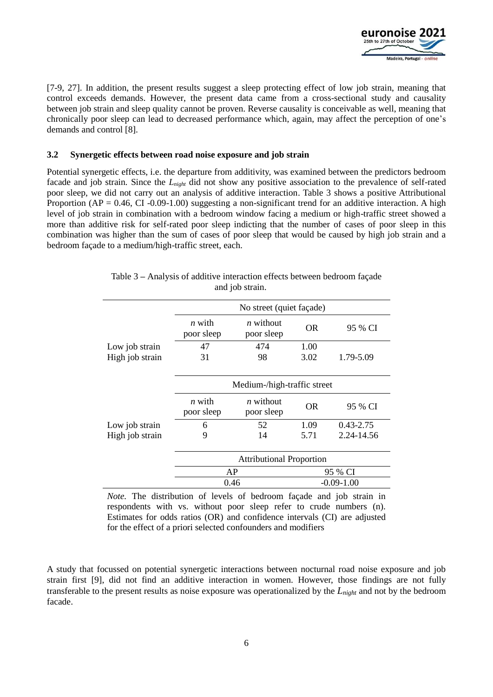

[7-9, 27]. In addition, the present results suggest a sleep protecting effect of low job strain, meaning that control exceeds demands. However, the present data came from a cross-sectional study and causality between job strain and sleep quality cannot be proven. Reverse causality is conceivable as well, meaning that chronically poor sleep can lead to decreased performance which, again, may affect the perception of one's demands and control [8].

#### **3.2 Synergetic effects between road noise exposure and job strain**

Potential synergetic effects, i.e. the departure from additivity, was examined between the predictors bedroom facade and job strain*.* Since the *Lnight* did not show any positive association to the prevalence of self-rated poor sleep, we did not carry out an analysis of additive interaction. Table 3 shows a positive Attributional Proportion ( $AP = 0.46$ , CI -0.09-1.00) suggesting a non-significant trend for an additive interaction. A high level of job strain in combination with a bedroom window facing a medium or high-traffic street showed a more than additive risk for self-rated poor sleep indicting that the number of cases of poor sleep in this combination was higher than the sum of cases of poor sleep that would be caused by high job strain and a bedroom façade to a medium/high-traffic street, each.

|                 | No street (quiet façade)        |                           |                |               |  |  |
|-----------------|---------------------------------|---------------------------|----------------|---------------|--|--|
|                 | <i>n</i> with<br>poor sleep     | $n$ without<br>poor sleep | <b>OR</b>      | 95 % CI       |  |  |
| Low job strain  | 47                              | 474                       | 1.00           |               |  |  |
| High job strain | 31                              | 98                        | 3.02           | 1.79-5.09     |  |  |
|                 | Medium-/high-traffic street     |                           |                |               |  |  |
|                 | <i>n</i> with<br>poor sleep     | $n$ without<br>poor sleep | <b>OR</b>      | 95 % CI       |  |  |
| Low job strain  | 6                               | 52                        | 1.09           | $0.43 - 2.75$ |  |  |
| High job strain | 9                               | 14                        | 5.71           | 2.24-14.56    |  |  |
|                 | <b>Attributional Proportion</b> |                           |                |               |  |  |
|                 | AP                              |                           | 95 % CI        |               |  |  |
|                 | 0.46                            |                           | $-0.09 - 1.00$ |               |  |  |

Table 3 **–** Analysis of additive interaction effects between bedroom façade and job strain.

*Note.* The distribution of levels of bedroom façade and job strain in respondents with vs. without poor sleep refer to crude numbers (n). Estimates for odds ratios (OR) and confidence intervals (CI) are adjusted for the effect of a priori selected confounders and modifiers

A study that focussed on potential synergetic interactions between nocturnal road noise exposure and job strain first [9], did not find an additive interaction in women. However, those findings are not fully transferable to the present results as noise exposure was operationalized by the *Lnight* and not by the bedroom facade.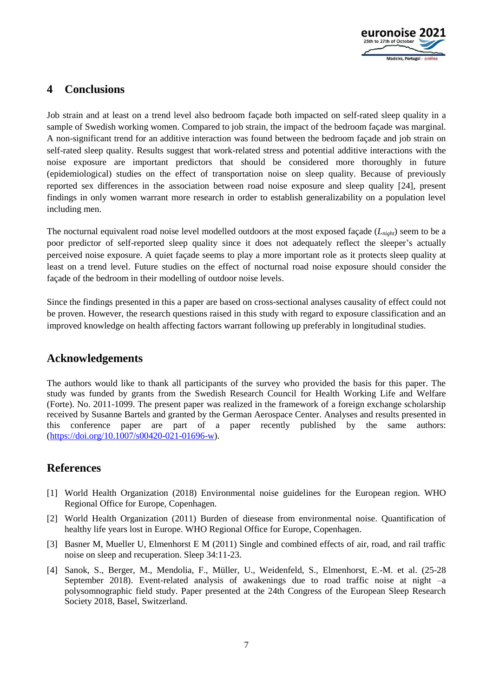

# **4 Conclusions**

Job strain and at least on a trend level also bedroom façade both impacted on self-rated sleep quality in a sample of Swedish working women. Compared to job strain, the impact of the bedroom façade was marginal. A non-significant trend for an additive interaction was found between the bedroom façade and job strain on self-rated sleep quality. Results suggest that work-related stress and potential additive interactions with the noise exposure are important predictors that should be considered more thoroughly in future (epidemiological) studies on the effect of transportation noise on sleep quality. Because of previously reported sex differences in the association between road noise exposure and sleep quality [24], present findings in only women warrant more research in order to establish generalizability on a population level including men.

The nocturnal equivalent road noise level modelled outdoors at the most exposed façade (*Lnight*) seem to be a poor predictor of self-reported sleep quality since it does not adequately reflect the sleeper's actually perceived noise exposure. A quiet façade seems to play a more important role as it protects sleep quality at least on a trend level. Future studies on the effect of nocturnal road noise exposure should consider the façade of the bedroom in their modelling of outdoor noise levels.

Since the findings presented in this a paper are based on cross-sectional analyses causality of effect could not be proven. However, the research questions raised in this study with regard to exposure classification and an improved knowledge on health affecting factors warrant following up preferably in longitudinal studies.

### **Acknowledgements**

The authors would like to thank all participants of the survey who provided the basis for this paper. The study was funded by grants from the Swedish Research Council for Health Working Life and Welfare (Forte). No. 2011-1099. The present paper was realized in the framework of a foreign exchange scholarship received by Susanne Bartels and granted by the German Aerospace Center. Analyses and results presented in this conference paper are part of a paper recently published by the same authors: [\(https://doi.org/10.1007/s00420-021-01696-w\)](https://doi.org/10.1007/s00420-021-01696-w).

### **References**

- [1] World Health Organization (2018) Environmental noise guidelines for the European region. WHO Regional Office for Europe, Copenhagen.
- [2] World Health Organization (2011) Burden of diesease from environmental noise. Quantification of healthy life years lost in Europe. WHO Regional Office for Europe, Copenhagen.
- [3] Basner M, Mueller U, Elmenhorst E M (2011) Single and combined effects of air, road, and rail traffic noise on sleep and recuperation. Sleep 34:11-23.
- [4] Sanok, S., Berger, M., Mendolia, F., Müller, U., Weidenfeld, S., Elmenhorst, E.-M. et al. (25-28 September 2018). Event-related analysis of awakenings due to road traffic noise at night –a polysomnographic field study. Paper presented at the 24th Congress of the European Sleep Research Society 2018, Basel, Switzerland.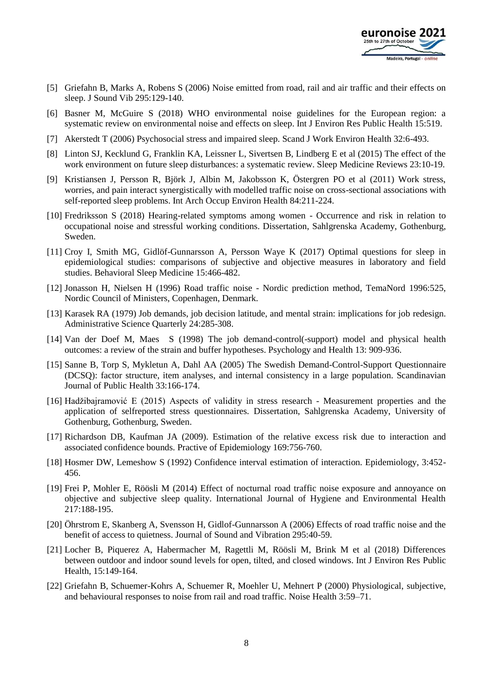

- [5] Griefahn B, Marks A, Robens S (2006) Noise emitted from road, rail and air traffic and their effects on sleep. J Sound Vib 295:129-140.
- [6] Basner M, McGuire S (2018) WHO environmental noise guidelines for the European region: a systematic review on environmental noise and effects on sleep. Int J Environ Res Public Health 15:519.
- [7] Akerstedt T (2006) Psychosocial stress and impaired sleep. Scand J Work Environ Health 32:6-493.
- [8] Linton SJ, Kecklund G, Franklin KA, Leissner L, Sivertsen B, Lindberg E et al (2015) The effect of the work environment on future sleep disturbances: a systematic review. Sleep Medicine Reviews 23:10-19.
- [9] Kristiansen J, Persson R, Björk J, Albin M, Jakobsson K, Östergren PO et al (2011) Work stress, worries, and pain interact synergistically with modelled traffic noise on cross-sectional associations with self-reported sleep problems. Int Arch Occup Environ Health 84:211-224.
- [10] Fredriksson S (2018) Hearing-related symptoms among women Occurrence and risk in relation to occupational noise and stressful working conditions. Dissertation, Sahlgrenska Academy, Gothenburg, Sweden.
- [11] Croy I, Smith MG, Gidlöf-Gunnarsson A, Persson Waye K (2017) Optimal questions for sleep in epidemiological studies: comparisons of subjective and objective measures in laboratory and field studies. Behavioral Sleep Medicine 15:466-482.
- [12] Jonasson H, Nielsen H (1996) Road traffic noise Nordic prediction method, TemaNord 1996:525, Nordic Council of Ministers, Copenhagen, Denmark.
- [13] Karasek RA (1979) Job demands, job decision latitude, and mental strain: implications for job redesign. Administrative Science Quarterly 24:285-308.
- [14] Van der Doef M, Maes S (1998) The job demand-control(-support) model and physical health outcomes: a review of the strain and buffer hypotheses. Psychology and Health 13: 909-936.
- [15] Sanne B, Torp S, Mykletun A, Dahl AA (2005) The Swedish Demand-Control-Support Questionnaire (DCSQ): factor structure, item analyses, and internal consistency in a large population. Scandinavian Journal of Public Health 33:166-174.
- [16] Hadžibajramović E (2015) Aspects of validity in stress research Measurement properties and the application of selfreported stress questionnaires. Dissertation, Sahlgrenska Academy, University of Gothenburg, Gothenburg, Sweden.
- [17] Richardson DB, Kaufman JA (2009). Estimation of the relative excess risk due to interaction and associated confidence bounds. Practive of Epidemiology 169:756-760.
- [18] Hosmer DW, Lemeshow S (1992) Confidence interval estimation of interaction. Epidemiology, 3:452- 456.
- [19] Frei P, Mohler E, Röösli M (2014) Effect of nocturnal road traffic noise exposure and annoyance on objective and subjective sleep quality. International Journal of Hygiene and Environmental Health 217:188-195.
- [20] Öhrstrom E, Skanberg A, Svensson H, Gidlof-Gunnarsson A (2006) Effects of road traffic noise and the benefit of access to quietness. Journal of Sound and Vibration 295:40-59.
- [21] Locher B, Piquerez A, Habermacher M, Ragettli M, Röösli M, Brink M et al (2018) Differences between outdoor and indoor sound levels for open, tilted, and closed windows. Int J Environ Res Public Health, 15:149-164.
- [22] Griefahn B, Schuemer-Kohrs A, Schuemer R, Moehler U, Mehnert P (2000) Physiological, subjective, and behavioural responses to noise from rail and road traffic. Noise Health 3:59–71.